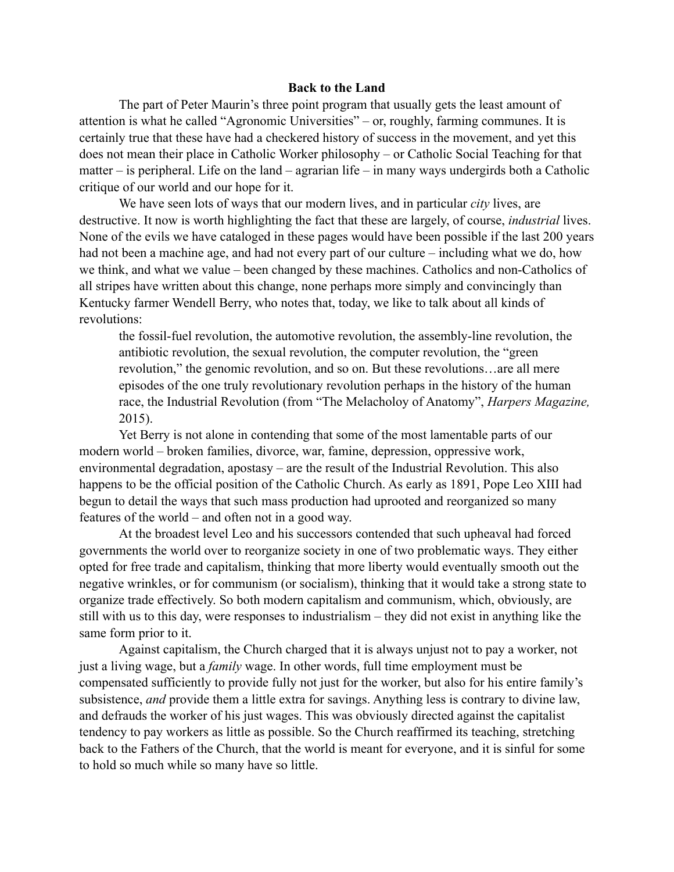## **Back to the Land**

The part of Peter Maurin's three point program that usually gets the least amount of attention is what he called "Agronomic Universities" – or, roughly, farming communes. It is certainly true that these have had a checkered history of success in the movement, and yet this does not mean their place in Catholic Worker philosophy – or Catholic Social Teaching for that matter – is peripheral. Life on the land – agrarian life – in many ways undergirds both a Catholic critique of our world and our hope for it.

We have seen lots of ways that our modern lives, and in particular *city* lives, are destructive. It now is worth highlighting the fact that these are largely, of course, *industrial* lives. None of the evils we have cataloged in these pages would have been possible if the last 200 years had not been a machine age, and had not every part of our culture – including what we do, how we think, and what we value – been changed by these machines. Catholics and non-Catholics of all stripes have written about this change, none perhaps more simply and convincingly than Kentucky farmer Wendell Berry, who notes that, today, we like to talk about all kinds of revolutions:

the fossil-fuel revolution, the automotive revolution, the assembly-line revolution, the antibiotic revolution, the sexual revolution, the computer revolution, the "green revolution," the genomic revolution, and so on. But these revolutions…are all mere episodes of the one truly revolutionary revolution perhaps in the history of the human race, the Industrial Revolution (from "The Melacholoy of Anatomy", *Harpers Magazine,*  2015).

Yet Berry is not alone in contending that some of the most lamentable parts of our modern world – broken families, divorce, war, famine, depression, oppressive work, environmental degradation, apostasy – are the result of the Industrial Revolution. This also happens to be the official position of the Catholic Church. As early as 1891, Pope Leo XIII had begun to detail the ways that such mass production had uprooted and reorganized so many features of the world – and often not in a good way.

At the broadest level Leo and his successors contended that such upheaval had forced governments the world over to reorganize society in one of two problematic ways. They either opted for free trade and capitalism, thinking that more liberty would eventually smooth out the negative wrinkles, or for communism (or socialism), thinking that it would take a strong state to organize trade effectively. So both modern capitalism and communism, which, obviously, are still with us to this day, were responses to industrialism – they did not exist in anything like the same form prior to it.

Against capitalism, the Church charged that it is always unjust not to pay a worker, not just a living wage, but a *family* wage. In other words, full time employment must be compensated sufficiently to provide fully not just for the worker, but also for his entire family's subsistence, *and* provide them a little extra for savings. Anything less is contrary to divine law, and defrauds the worker of his just wages. This was obviously directed against the capitalist tendency to pay workers as little as possible. So the Church reaffirmed its teaching, stretching back to the Fathers of the Church, that the world is meant for everyone, and it is sinful for some to hold so much while so many have so little.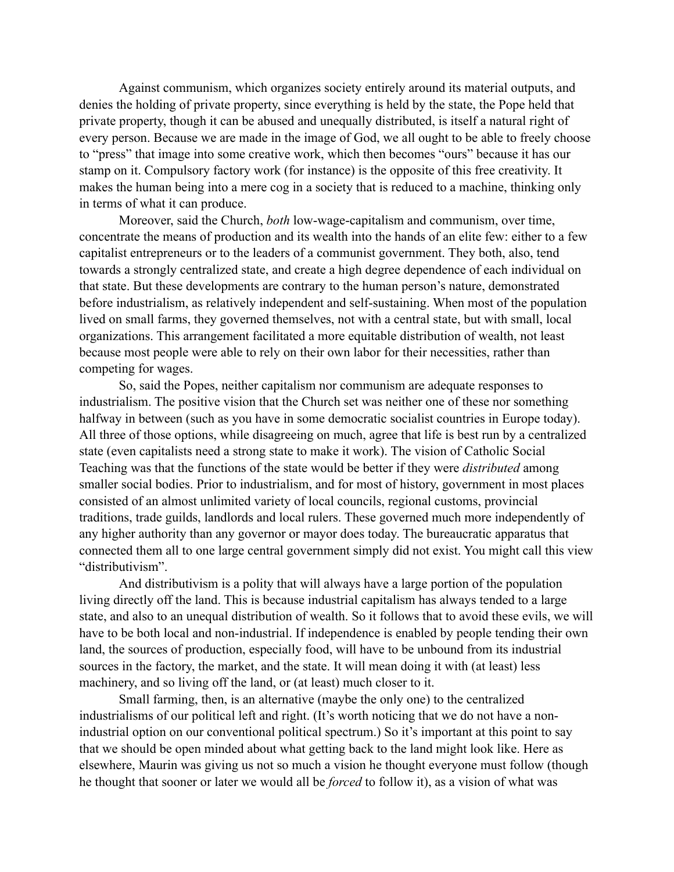Against communism, which organizes society entirely around its material outputs, and denies the holding of private property, since everything is held by the state, the Pope held that private property, though it can be abused and unequally distributed, is itself a natural right of every person. Because we are made in the image of God, we all ought to be able to freely choose to "press" that image into some creative work, which then becomes "ours" because it has our stamp on it. Compulsory factory work (for instance) is the opposite of this free creativity. It makes the human being into a mere cog in a society that is reduced to a machine, thinking only in terms of what it can produce.

Moreover, said the Church, *both* low-wage-capitalism and communism, over time, concentrate the means of production and its wealth into the hands of an elite few: either to a few capitalist entrepreneurs or to the leaders of a communist government. They both, also, tend towards a strongly centralized state, and create a high degree dependence of each individual on that state. But these developments are contrary to the human person's nature, demonstrated before industrialism, as relatively independent and self-sustaining. When most of the population lived on small farms, they governed themselves, not with a central state, but with small, local organizations. This arrangement facilitated a more equitable distribution of wealth, not least because most people were able to rely on their own labor for their necessities, rather than competing for wages.

So, said the Popes, neither capitalism nor communism are adequate responses to industrialism. The positive vision that the Church set was neither one of these nor something halfway in between (such as you have in some democratic socialist countries in Europe today). All three of those options, while disagreeing on much, agree that life is best run by a centralized state (even capitalists need a strong state to make it work). The vision of Catholic Social Teaching was that the functions of the state would be better if they were *distributed* among smaller social bodies. Prior to industrialism, and for most of history, government in most places consisted of an almost unlimited variety of local councils, regional customs, provincial traditions, trade guilds, landlords and local rulers. These governed much more independently of any higher authority than any governor or mayor does today. The bureaucratic apparatus that connected them all to one large central government simply did not exist. You might call this view "distributivism".

And distributivism is a polity that will always have a large portion of the population living directly off the land. This is because industrial capitalism has always tended to a large state, and also to an unequal distribution of wealth. So it follows that to avoid these evils, we will have to be both local and non-industrial. If independence is enabled by people tending their own land, the sources of production, especially food, will have to be unbound from its industrial sources in the factory, the market, and the state. It will mean doing it with (at least) less machinery, and so living off the land, or (at least) much closer to it.

Small farming, then, is an alternative (maybe the only one) to the centralized industrialisms of our political left and right. (It's worth noticing that we do not have a nonindustrial option on our conventional political spectrum.) So it's important at this point to say that we should be open minded about what getting back to the land might look like. Here as elsewhere, Maurin was giving us not so much a vision he thought everyone must follow (though he thought that sooner or later we would all be *forced* to follow it), as a vision of what was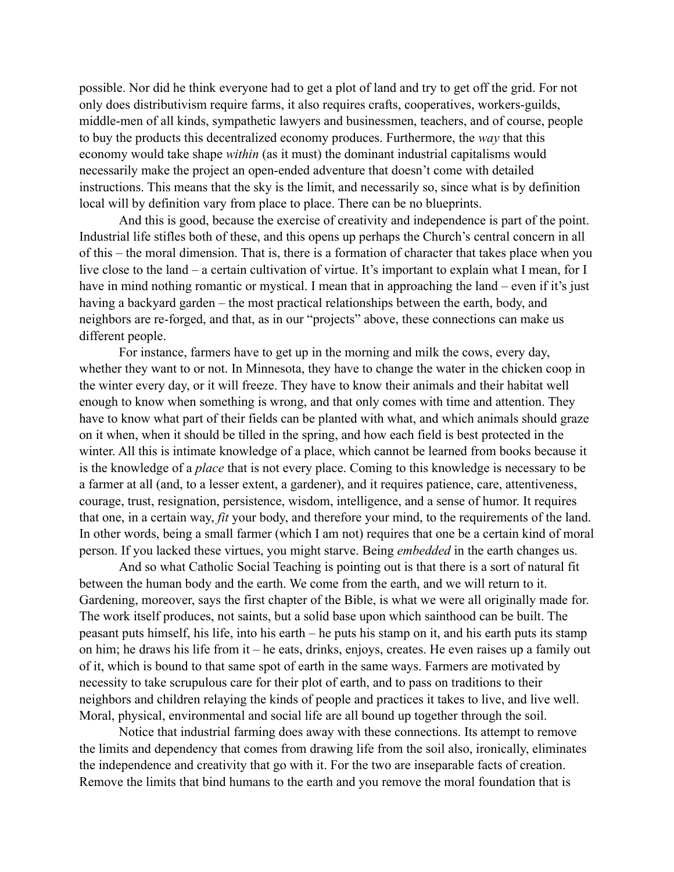possible. Nor did he think everyone had to get a plot of land and try to get off the grid. For not only does distributivism require farms, it also requires crafts, cooperatives, workers-guilds, middle-men of all kinds, sympathetic lawyers and businessmen, teachers, and of course, people to buy the products this decentralized economy produces. Furthermore, the *way* that this economy would take shape *within* (as it must) the dominant industrial capitalisms would necessarily make the project an open-ended adventure that doesn't come with detailed instructions. This means that the sky is the limit, and necessarily so, since what is by definition local will by definition vary from place to place. There can be no blueprints.

And this is good, because the exercise of creativity and independence is part of the point. Industrial life stifles both of these, and this opens up perhaps the Church's central concern in all of this – the moral dimension. That is, there is a formation of character that takes place when you live close to the land – a certain cultivation of virtue. It's important to explain what I mean, for I have in mind nothing romantic or mystical. I mean that in approaching the land – even if it's just having a backyard garden – the most practical relationships between the earth, body, and neighbors are re-forged, and that, as in our "projects" above, these connections can make us different people.

For instance, farmers have to get up in the morning and milk the cows, every day, whether they want to or not. In Minnesota, they have to change the water in the chicken coop in the winter every day, or it will freeze. They have to know their animals and their habitat well enough to know when something is wrong, and that only comes with time and attention. They have to know what part of their fields can be planted with what, and which animals should graze on it when, when it should be tilled in the spring, and how each field is best protected in the winter. All this is intimate knowledge of a place, which cannot be learned from books because it is the knowledge of a *place* that is not every place. Coming to this knowledge is necessary to be a farmer at all (and, to a lesser extent, a gardener), and it requires patience, care, attentiveness, courage, trust, resignation, persistence, wisdom, intelligence, and a sense of humor. It requires that one, in a certain way, *fit* your body, and therefore your mind, to the requirements of the land. In other words, being a small farmer (which I am not) requires that one be a certain kind of moral person. If you lacked these virtues, you might starve. Being *embedded* in the earth changes us.

And so what Catholic Social Teaching is pointing out is that there is a sort of natural fit between the human body and the earth. We come from the earth, and we will return to it. Gardening, moreover, says the first chapter of the Bible, is what we were all originally made for. The work itself produces, not saints, but a solid base upon which sainthood can be built. The peasant puts himself, his life, into his earth – he puts his stamp on it, and his earth puts its stamp on him; he draws his life from it – he eats, drinks, enjoys, creates. He even raises up a family out of it, which is bound to that same spot of earth in the same ways. Farmers are motivated by necessity to take scrupulous care for their plot of earth, and to pass on traditions to their neighbors and children relaying the kinds of people and practices it takes to live, and live well. Moral, physical, environmental and social life are all bound up together through the soil.

Notice that industrial farming does away with these connections. Its attempt to remove the limits and dependency that comes from drawing life from the soil also, ironically, eliminates the independence and creativity that go with it. For the two are inseparable facts of creation. Remove the limits that bind humans to the earth and you remove the moral foundation that is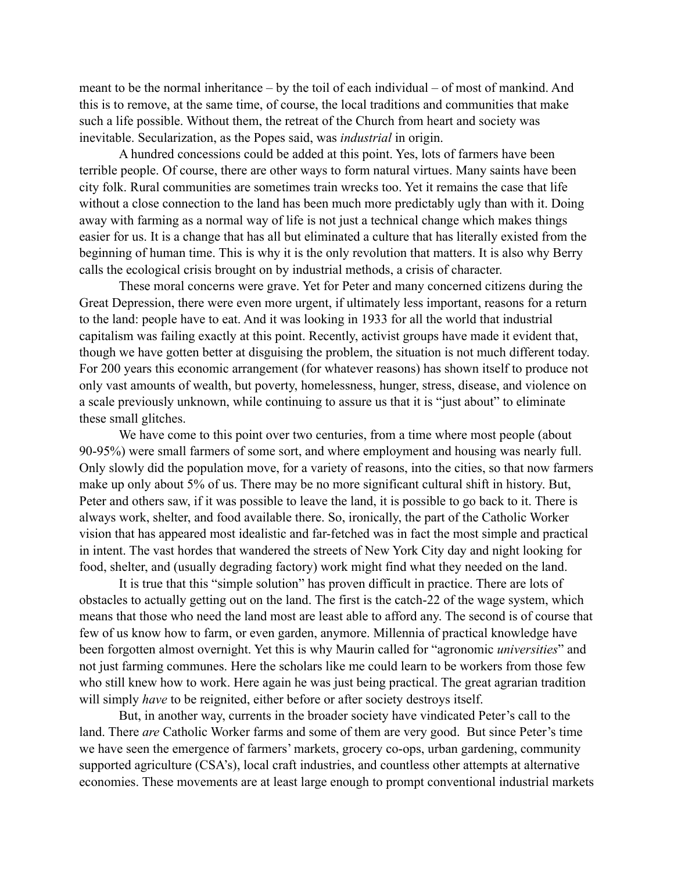meant to be the normal inheritance – by the toil of each individual – of most of mankind. And this is to remove, at the same time, of course, the local traditions and communities that make such a life possible. Without them, the retreat of the Church from heart and society was inevitable. Secularization, as the Popes said, was *industrial* in origin.

A hundred concessions could be added at this point. Yes, lots of farmers have been terrible people. Of course, there are other ways to form natural virtues. Many saints have been city folk. Rural communities are sometimes train wrecks too. Yet it remains the case that life without a close connection to the land has been much more predictably ugly than with it. Doing away with farming as a normal way of life is not just a technical change which makes things easier for us. It is a change that has all but eliminated a culture that has literally existed from the beginning of human time. This is why it is the only revolution that matters. It is also why Berry calls the ecological crisis brought on by industrial methods, a crisis of character.

These moral concerns were grave. Yet for Peter and many concerned citizens during the Great Depression, there were even more urgent, if ultimately less important, reasons for a return to the land: people have to eat. And it was looking in 1933 for all the world that industrial capitalism was failing exactly at this point. Recently, activist groups have made it evident that, though we have gotten better at disguising the problem, the situation is not much different today. For 200 years this economic arrangement (for whatever reasons) has shown itself to produce not only vast amounts of wealth, but poverty, homelessness, hunger, stress, disease, and violence on a scale previously unknown, while continuing to assure us that it is "just about" to eliminate these small glitches.

We have come to this point over two centuries, from a time where most people (about 90-95%) were small farmers of some sort, and where employment and housing was nearly full. Only slowly did the population move, for a variety of reasons, into the cities, so that now farmers make up only about 5% of us. There may be no more significant cultural shift in history. But, Peter and others saw, if it was possible to leave the land, it is possible to go back to it. There is always work, shelter, and food available there. So, ironically, the part of the Catholic Worker vision that has appeared most idealistic and far-fetched was in fact the most simple and practical in intent. The vast hordes that wandered the streets of New York City day and night looking for food, shelter, and (usually degrading factory) work might find what they needed on the land.

It is true that this "simple solution" has proven difficult in practice. There are lots of obstacles to actually getting out on the land. The first is the catch-22 of the wage system, which means that those who need the land most are least able to afford any. The second is of course that few of us know how to farm, or even garden, anymore. Millennia of practical knowledge have been forgotten almost overnight. Yet this is why Maurin called for "agronomic *universities*" and not just farming communes. Here the scholars like me could learn to be workers from those few who still knew how to work. Here again he was just being practical. The great agrarian tradition will simply *have* to be reignited, either before or after society destroys itself.

But, in another way, currents in the broader society have vindicated Peter's call to the land. There *are* Catholic Worker farms and some of them are very good. But since Peter's time we have seen the emergence of farmers' markets, grocery co-ops, urban gardening, community supported agriculture (CSA's), local craft industries, and countless other attempts at alternative economies. These movements are at least large enough to prompt conventional industrial markets